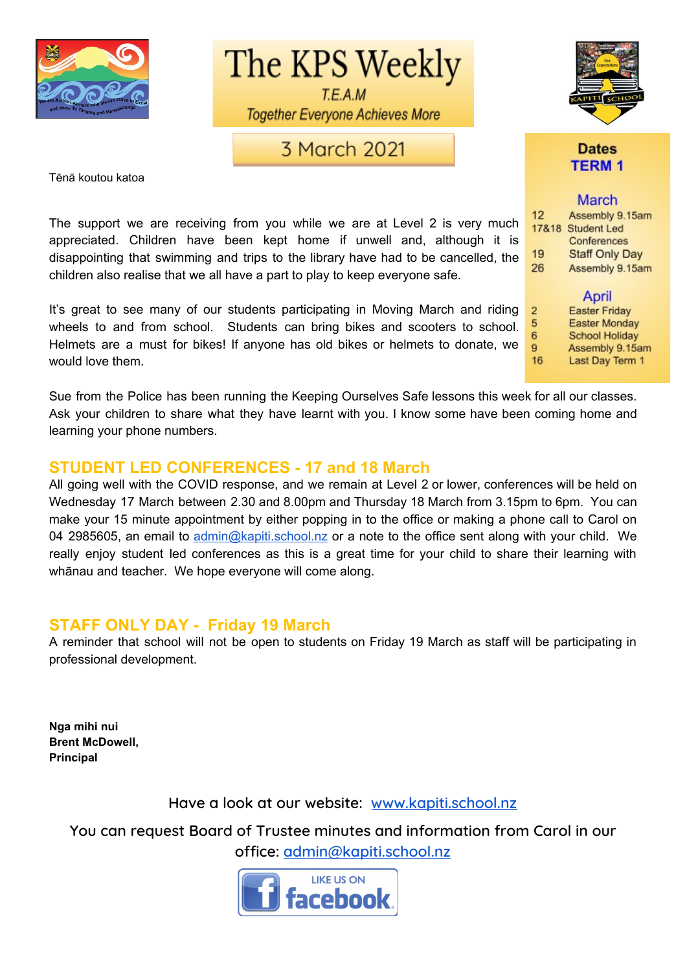

The KPS Weekly

T.E.A.M **Together Everyone Achieves More** 

3 March 2021

The support we are receiving from you while we are at Level 2 is very much

Tēnā koutou katoa

would love them.

#### **Dates TERM1**

March

 $12$ Assembly 9.15am 17&18 Student Led

Sue from the Police has been running the Keeping Ourselves Safe lessons this week for all our classes. Ask your children to share what they have learnt with you. I know some have been coming home and learning your phone numbers.

#### **STUDENT LED CONFERENCES - 17 and 18 March**

All going well with the COVID response, and we remain at Level 2 or lower, conferences will be held on Wednesday 17 March between 2.30 and 8.00pm and Thursday 18 March from 3.15pm to 6pm. You can make your 15 minute appointment by either popping in to the office or making a phone call to Carol on 04 2985605, an email to [admin@kapiti.school.nz](mailto:admin@kapiti.school.nz) or a note to the office sent along with your child. We really enjoy student led conferences as this is a great time for your child to share their learning with whānau and teacher. We hope everyone will come along.

#### **STAFF ONLY DAY - Friday 19 March**

A reminder that school will not be open to students on Friday 19 March as staff will be participating in professional development.

**Nga mihi nui Brent McDowell, Principal**

#### **Have a look at our website: [www.kapiti.school.nz](http://www.kapiti.school.nz/)**

**You can request Board of Trustee minutes and information from Carol in our office: [admin@kapiti.school.nz](mailto:admin@kapiti.school.mz)**



| appreciated. Children have been kept home if unwell and, although it is<br>disappointing that swimming and trips to the library have had to be cancelled, the<br>children also realise that we all have a part to play to keep everyone safe.                       | 19<br>26           | Conferences<br><b>Staff Only Day</b><br>Assembly 9.15am                                                       |
|---------------------------------------------------------------------------------------------------------------------------------------------------------------------------------------------------------------------------------------------------------------------|--------------------|---------------------------------------------------------------------------------------------------------------|
| It's great to see many of our students participating in Moving March and riding<br>wheels to and from school. Students can bring bikes and scooters to school.<br>Helmets are a must for bikes! If anyone has old bikes or helmets to donate, we<br>would love them | -2<br>5<br>9<br>16 | April<br><b>Easter Friday</b><br>Easter Monday<br><b>School Holiday</b><br>Assembly 9.15am<br>Last Day Term 1 |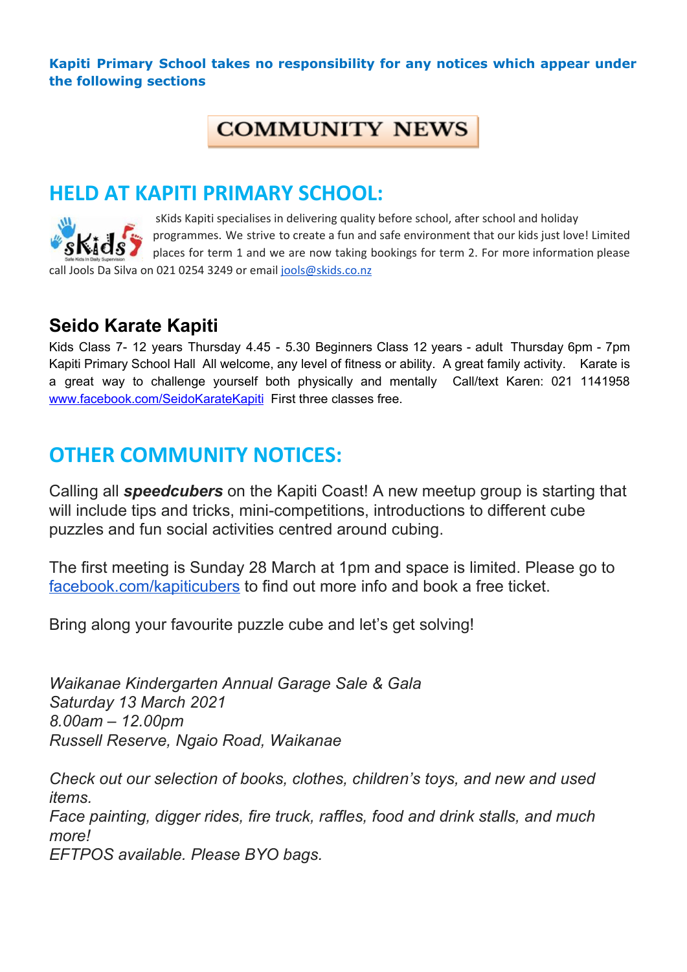**Kapiti Primary School takes no responsibility for any notices which appear under the following sections**

### **COMMUNITY NEWS**

#### **HELD AT KAPITI PRIMARY SCHOOL:**

sKids Kapiti specialises in delivering quality before school, after school and holiday programmes. We strive to create a fun and safe environment that our kids just love! Limited places for term 1 and we are now taking bookings for term 2. For more information please call Jools Da Silva on 021 0254 3249 or email jools@skids.co.nz

#### **Seido Karate Kapiti**

Kids Class 7- 12 years Thursday 4.45 - 5.30 Beginners Class 12 years - adult Thursday 6pm - 7pm Kapiti Primary School Hall All welcome, any level of fitness or ability. A great family activity. Karate is a great way to challenge yourself both physically and mentally Call/text Karen: 021 1141958 [www.facebook.com/SeidoKarateKapiti](http://www.facebook.com/SeidoKarateKapiti) First three classes free.

## **OTHER COMMUNITY NOTICES:**

Calling all *speedcubers* on the Kapiti Coast! A new meetup group is starting that will include tips and tricks, mini-competitions, introductions to different cube puzzles and fun social activities centred around cubing.

The first meeting is Sunday 28 March at 1pm and space is limited. Please go to [facebook.com/kapiticubers](https://facebook.com/kapiticubers) to find out more info and book a free ticket.

Bring along your favourite puzzle cube and let's get solving!

*Waikanae Kindergarten Annual Garage Sale & Gala Saturday 13 March 2021 8.00am – 12.00pm Russell Reserve, Ngaio Road, Waikanae*

*Check out our selection of books, clothes, children's toys, and new and used items. Face painting, digger rides, fire truck, raffles, food and drink stalls, and much more! EFTPOS available. Please BYO bags.*